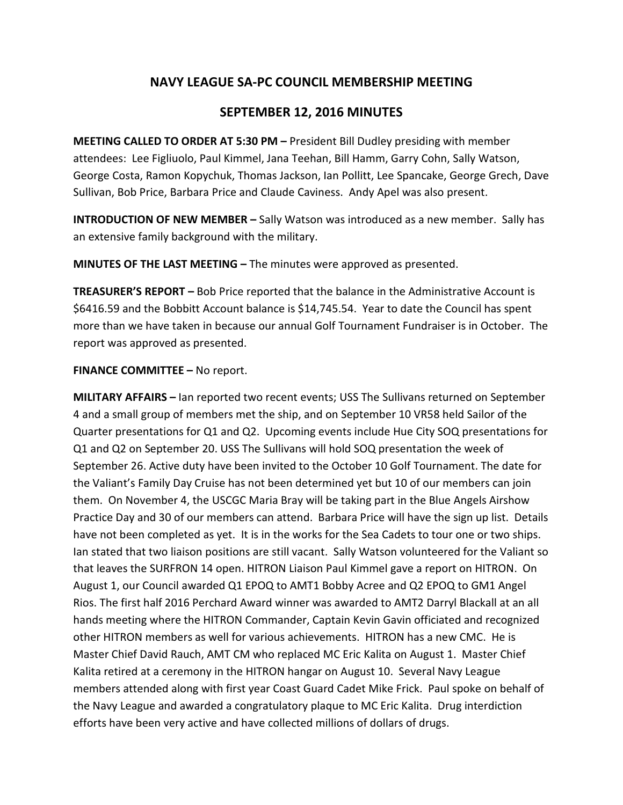## **NAVY LEAGUE SA-PC COUNCIL MEMBERSHIP MEETING**

## **SEPTEMBER 12, 2016 MINUTES**

**MEETING CALLED TO ORDER AT 5:30 PM –** President Bill Dudley presiding with member attendees: Lee Figliuolo, Paul Kimmel, Jana Teehan, Bill Hamm, Garry Cohn, Sally Watson, George Costa, Ramon Kopychuk, Thomas Jackson, Ian Pollitt, Lee Spancake, George Grech, Dave Sullivan, Bob Price, Barbara Price and Claude Caviness. Andy Apel was also present.

**INTRODUCTION OF NEW MEMBER –** Sally Watson was introduced as a new member. Sally has an extensive family background with the military.

**MINUTES OF THE LAST MEETING –** The minutes were approved as presented.

**TREASURER'S REPORT –** Bob Price reported that the balance in the Administrative Account is \$6416.59 and the Bobbitt Account balance is \$14,745.54. Year to date the Council has spent more than we have taken in because our annual Golf Tournament Fundraiser is in October. The report was approved as presented.

## **FINANCE COMMITTEE –** No report.

**MILITARY AFFAIRS –** Ian reported two recent events; USS The Sullivans returned on September 4 and a small group of members met the ship, and on September 10 VR58 held Sailor of the Quarter presentations for Q1 and Q2. Upcoming events include Hue City SOQ presentations for Q1 and Q2 on September 20. USS The Sullivans will hold SOQ presentation the week of September 26. Active duty have been invited to the October 10 Golf Tournament. The date for the Valiant's Family Day Cruise has not been determined yet but 10 of our members can join them. On November 4, the USCGC Maria Bray will be taking part in the Blue Angels Airshow Practice Day and 30 of our members can attend. Barbara Price will have the sign up list. Details have not been completed as yet. It is in the works for the Sea Cadets to tour one or two ships. Ian stated that two liaison positions are still vacant. Sally Watson volunteered for the Valiant so that leaves the SURFRON 14 open. HITRON Liaison Paul Kimmel gave a report on HITRON. On August 1, our Council awarded Q1 EPOQ to AMT1 Bobby Acree and Q2 EPOQ to GM1 Angel Rios. The first half 2016 Perchard Award winner was awarded to AMT2 Darryl Blackall at an all hands meeting where the HITRON Commander, Captain Kevin Gavin officiated and recognized other HITRON members as well for various achievements. HITRON has a new CMC. He is Master Chief David Rauch, AMT CM who replaced MC Eric Kalita on August 1. Master Chief Kalita retired at a ceremony in the HITRON hangar on August 10. Several Navy League members attended along with first year Coast Guard Cadet Mike Frick. Paul spoke on behalf of the Navy League and awarded a congratulatory plaque to MC Eric Kalita. Drug interdiction efforts have been very active and have collected millions of dollars of drugs.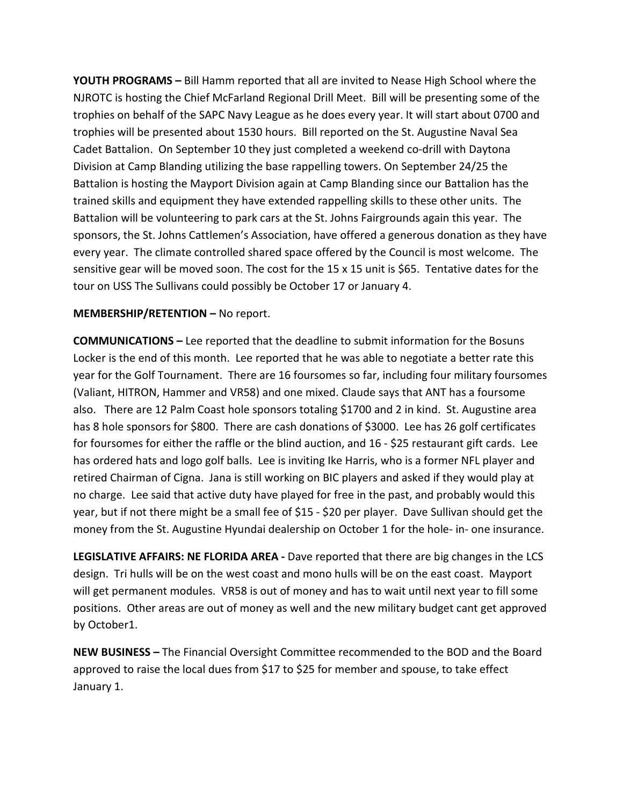**YOUTH PROGRAMS –** Bill Hamm reported that all are invited to Nease High School where the NJROTC is hosting the Chief McFarland Regional Drill Meet. Bill will be presenting some of the trophies on behalf of the SAPC Navy League as he does every year. It will start about 0700 and trophies will be presented about 1530 hours. Bill reported on the St. Augustine Naval Sea Cadet Battalion. On September 10 they just completed a weekend co-drill with Daytona Division at Camp Blanding utilizing the base rappelling towers. On September 24/25 the Battalion is hosting the Mayport Division again at Camp Blanding since our Battalion has the trained skills and equipment they have extended rappelling skills to these other units. The Battalion will be volunteering to park cars at the St. Johns Fairgrounds again this year. The sponsors, the St. Johns Cattlemen's Association, have offered a generous donation as they have every year. The climate controlled shared space offered by the Council is most welcome. The sensitive gear will be moved soon. The cost for the 15 x 15 unit is \$65. Tentative dates for the tour on USS The Sullivans could possibly be October 17 or January 4.

## **MEMBERSHIP/RETENTION –** No report.

**COMMUNICATIONS –** Lee reported that the deadline to submit information for the Bosuns Locker is the end of this month. Lee reported that he was able to negotiate a better rate this year for the Golf Tournament. There are 16 foursomes so far, including four military foursomes (Valiant, HITRON, Hammer and VR58) and one mixed. Claude says that ANT has a foursome also. There are 12 Palm Coast hole sponsors totaling \$1700 and 2 in kind. St. Augustine area has 8 hole sponsors for \$800. There are cash donations of \$3000. Lee has 26 golf certificates for foursomes for either the raffle or the blind auction, and 16 - \$25 restaurant gift cards. Lee has ordered hats and logo golf balls. Lee is inviting Ike Harris, who is a former NFL player and retired Chairman of Cigna. Jana is still working on BIC players and asked if they would play at no charge. Lee said that active duty have played for free in the past, and probably would this year, but if not there might be a small fee of \$15 - \$20 per player. Dave Sullivan should get the money from the St. Augustine Hyundai dealership on October 1 for the hole- in- one insurance.

**LEGISLATIVE AFFAIRS: NE FLORIDA AREA -** Dave reported that there are big changes in the LCS design. Tri hulls will be on the west coast and mono hulls will be on the east coast. Mayport will get permanent modules. VR58 is out of money and has to wait until next year to fill some positions. Other areas are out of money as well and the new military budget cant get approved by October1.

**NEW BUSINESS –** The Financial Oversight Committee recommended to the BOD and the Board approved to raise the local dues from \$17 to \$25 for member and spouse, to take effect January 1.